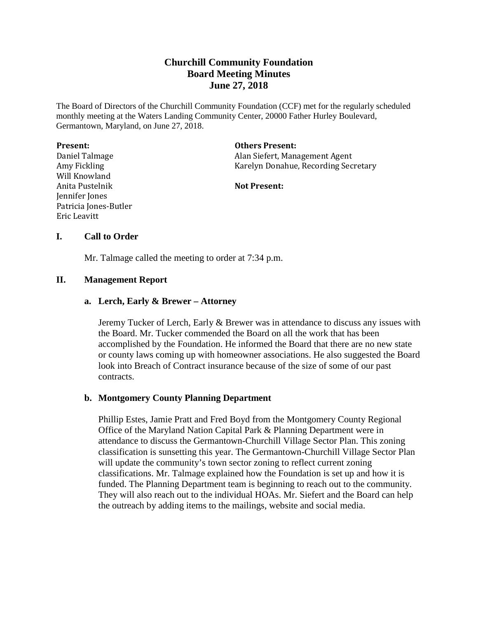# **Churchill Community Foundation Board Meeting Minutes June 27, 2018**

The Board of Directors of the Churchill Community Foundation (CCF) met for the regularly scheduled monthly meeting at the Waters Landing Community Center, 20000 Father Hurley Boulevard, Germantown, Maryland, on June 27, 2018.

| <b>Present:</b>       | <b>Others Present:</b>               |
|-----------------------|--------------------------------------|
| Daniel Talmage        | Alan Siefert, Management Agent       |
| Amy Fickling          | Karelyn Donahue, Recording Secretary |
| Will Knowland         |                                      |
| Anita Pustelnik       | <b>Not Present:</b>                  |
| Jennifer Jones        |                                      |
| Patricia Jones-Butler |                                      |
| Eric Leavitt          |                                      |
|                       |                                      |

# **I. Call to Order**

Mr. Talmage called the meeting to order at 7:34 p.m.

### **II. Management Report**

### **a. Lerch, Early & Brewer – Attorney**

Jeremy Tucker of Lerch, Early & Brewer was in attendance to discuss any issues with the Board. Mr. Tucker commended the Board on all the work that has been accomplished by the Foundation. He informed the Board that there are no new state or county laws coming up with homeowner associations. He also suggested the Board look into Breach of Contract insurance because of the size of some of our past contracts.

# **b. Montgomery County Planning Department**

Phillip Estes, Jamie Pratt and Fred Boyd from the Montgomery County Regional Office of the Maryland Nation Capital Park & Planning Department were in attendance to discuss the Germantown-Churchill Village Sector Plan. This zoning classification is sunsetting this year. The Germantown-Churchill Village Sector Plan will update the community's town sector zoning to reflect current zoning classifications. Mr. Talmage explained how the Foundation is set up and how it is funded. The Planning Department team is beginning to reach out to the community. They will also reach out to the individual HOAs. Mr. Siefert and the Board can help the outreach by adding items to the mailings, website and social media.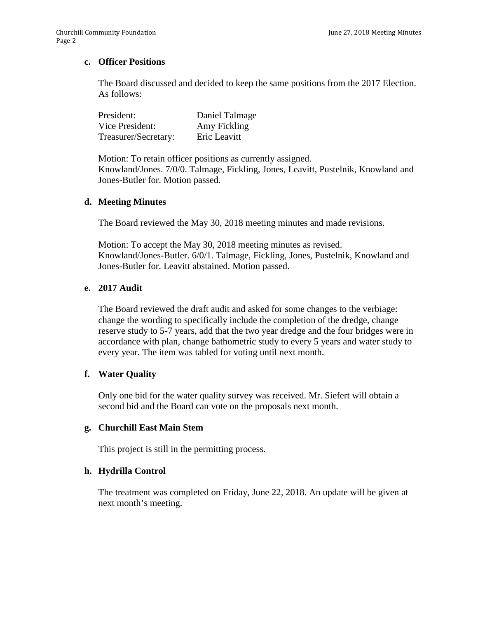# **c. Officer Positions**

The Board discussed and decided to keep the same positions from the 2017 Election. As follows:

| President:           | Daniel Talmage |
|----------------------|----------------|
| Vice President:      | Amy Fickling   |
| Treasurer/Secretary: | Eric Leavitt   |

Motion: To retain officer positions as currently assigned. Knowland/Jones. 7/0/0. Talmage, Fickling, Jones, Leavitt, Pustelnik, Knowland and Jones-Butler for. Motion passed.

### **d. Meeting Minutes**

The Board reviewed the May 30, 2018 meeting minutes and made revisions.

Motion: To accept the May 30, 2018 meeting minutes as revised. Knowland/Jones-Butler. 6/0/1. Talmage, Fickling, Jones, Pustelnik, Knowland and Jones-Butler for. Leavitt abstained. Motion passed.

# **e. 2017 Audit**

The Board reviewed the draft audit and asked for some changes to the verbiage: change the wording to specifically include the completion of the dredge, change reserve study to 5-7 years, add that the two year dredge and the four bridges were in accordance with plan, change bathometric study to every 5 years and water study to every year. The item was tabled for voting until next month.

# **f. Water Quality**

Only one bid for the water quality survey was received. Mr. Siefert will obtain a second bid and the Board can vote on the proposals next month.

### **g. Churchill East Main Stem**

This project is still in the permitting process.

### **h. Hydrilla Control**

The treatment was completed on Friday, June 22, 2018. An update will be given at next month's meeting.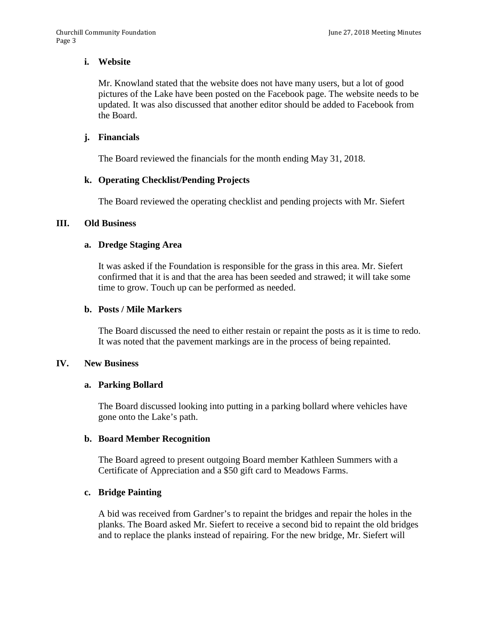# **i. Website**

Mr. Knowland stated that the website does not have many users, but a lot of good pictures of the Lake have been posted on the Facebook page. The website needs to be updated. It was also discussed that another editor should be added to Facebook from the Board.

# **j. Financials**

The Board reviewed the financials for the month ending May 31, 2018.

# **k. Operating Checklist/Pending Projects**

The Board reviewed the operating checklist and pending projects with Mr. Siefert

### **III. Old Business**

### **a. Dredge Staging Area**

It was asked if the Foundation is responsible for the grass in this area. Mr. Siefert confirmed that it is and that the area has been seeded and strawed; it will take some time to grow. Touch up can be performed as needed.

### **b. Posts / Mile Markers**

The Board discussed the need to either restain or repaint the posts as it is time to redo. It was noted that the pavement markings are in the process of being repainted.

### **IV. New Business**

### **a. Parking Bollard**

The Board discussed looking into putting in a parking bollard where vehicles have gone onto the Lake's path.

### **b. Board Member Recognition**

The Board agreed to present outgoing Board member Kathleen Summers with a Certificate of Appreciation and a \$50 gift card to Meadows Farms.

# **c. Bridge Painting**

A bid was received from Gardner's to repaint the bridges and repair the holes in the planks. The Board asked Mr. Siefert to receive a second bid to repaint the old bridges and to replace the planks instead of repairing. For the new bridge, Mr. Siefert will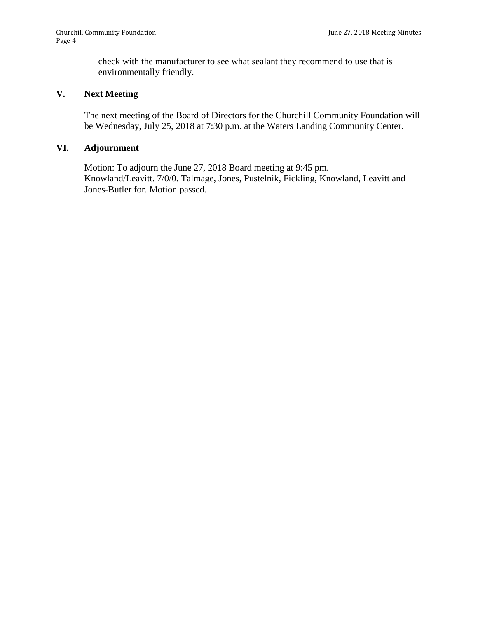check with the manufacturer to see what sealant they recommend to use that is environmentally friendly.

# **V. Next Meeting**

The next meeting of the Board of Directors for the Churchill Community Foundation will be Wednesday, July 25, 2018 at 7:30 p.m. at the Waters Landing Community Center.

# **VI. Adjournment**

Motion: To adjourn the June 27, 2018 Board meeting at 9:45 pm. Knowland/Leavitt. 7/0/0. Talmage, Jones, Pustelnik, Fickling, Knowland, Leavitt and Jones-Butler for. Motion passed.